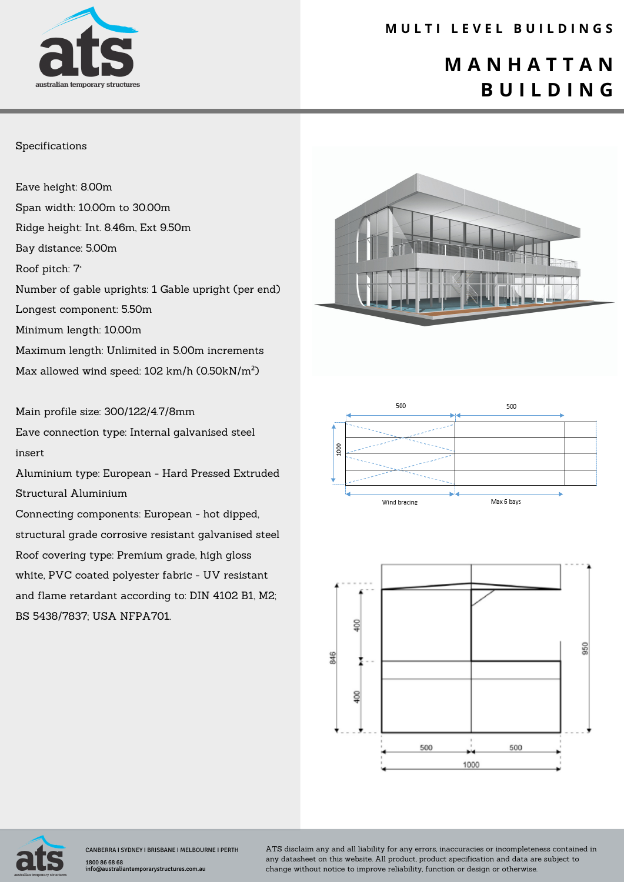

### **M U L T I L E V E L B U I L D I N G S**

## **M A N H A T T A N B U I L D I N G**

#### Specifications

Eave height: 8.00m Span width: 10.00m to 30.00m Ridge height: Int. 8.46m, Ext 9.50m Bay distance: 5.00m Roof pitch: 7° Number of gable uprights: 1 Gable upright (per end) Longest component: 5.50m Minimum length: 10.00m Maximum length: Unlimited in 5.00m increments Max allowed wind speed: 102 km/h (0.50kN/m²)

Main profile size: 300/122/4.7/8mm

Eave connection type: Internal galvanised steel insert

Aluminium type: European - Hard Pressed Extruded Structural Aluminium

Connecting components: European - hot dipped, structural grade corrosive resistant galvanised steel Roof covering type: Premium grade, high gloss white, PVC coated polyester fabric - UV resistant and flame retardant according to: DIN 4102 B1, M2; BS 5438/7837; USA NFPA701.









CANBERRA I SYDNEY I BRISBANE I MELBOURNE I PERTH 1800 86 68 68 info@australiantemporarystructures.com.au

ATS disclaim any and all liability for any errors, inaccuracies or incompleteness contained in any datasheet on this website. All product, product specification and data are subject to change without notice to improve reliability, function or design or otherwise.